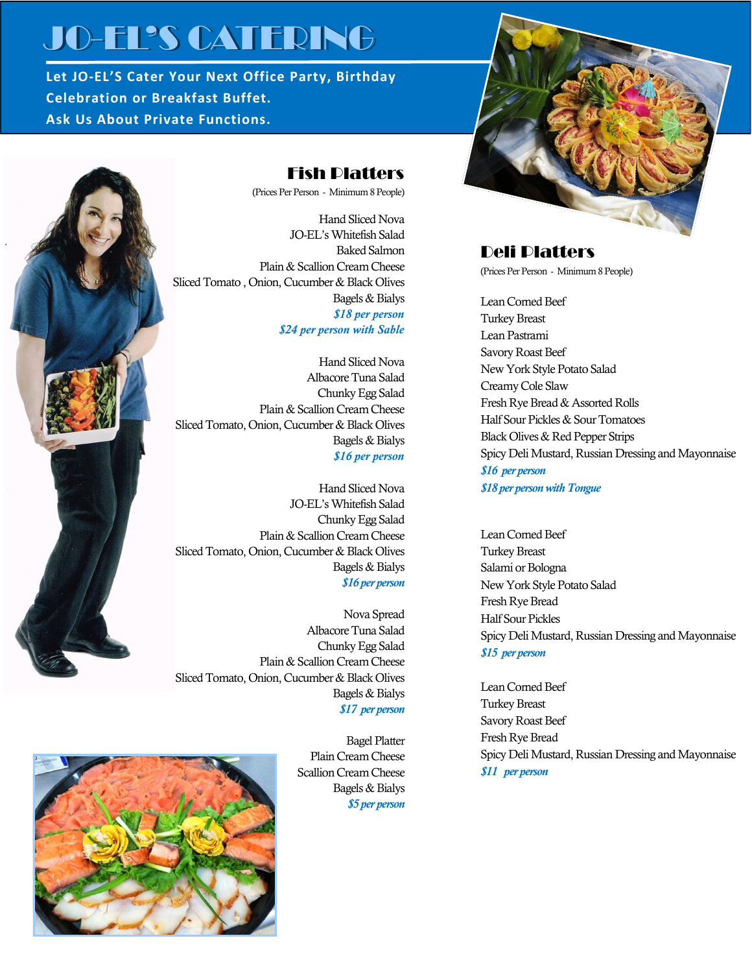# JO-EL'S CATERING

**Let JO-EL'S Cater Your Next Office Party, Birthday Celebration or Breakfast Buffet. Ask Us About Private Functions.**!



### Fish Platters

(Prices Per Person - Minimum 8 People)

Hand Sliced Nova JO-EL's Whitefish Salad Baked Salmon Plain & Scallion Cream Cheese Sliced Tomato , Onion, Cucumber & Black Olives Bagels & Bialys *\$18 per person \$24 per person with Sable*

Hand Sliced Nova Albacore Tuna Salad Chunky Egg Salad Plain & Scallion Cream Cheese Sliced Tomato, Onion, Cucumber & Black Olives Bagels & Bialys *\$16 per person*

Hand Sliced Nova JO-EL's Whitefish Salad Chunky Egg Salad Plain & Scallion Cream Cheese Sliced Tomato, Onion, Cucumber & Black Olives Bagels & Bialys *\$16 per person*

Nova Spread Albacore Tuna Salad Chunky Egg Salad Plain & Scallion Cream Cheese Sliced Tomato, Onion, Cucumber & Black Olives Bagels & Bialys *\$17 per person*

Bagel Platter Plain Cream Cheese Scallion Cream Cheese Bagels & Bialys *\$5 per person*



## Deli Platters

(Prices Per Person - Minimum 8 People)

Lean Corned Beef Turkey Breast Lean Pastrami Savory Roast Beef New York Style Potato Salad Creamy Cole Slaw Fresh Rye Bread & Assorted Rolls Half Sour Pickles & Sour Tomatoes Black Olives & Red Pepper Strips Spicy Deli Mustard, Russian Dressing and Mayonnaise *\$16 per person \$18 per person with Tongue*

Lean Corned Beef Turkey Breast Salami or Bologna New York Style Potato Salad Fresh Rye Bread Half Sour Pickles Spicy Deli Mustard, Russian Dressing and Mayonnaise *\$15 per person*

Lean Corned Beef Turkey Breast Savory Roast Beef Fresh Rye Bread Spicy Deli Mustard, Russian Dressing and Mayonnaise *\$11 per person*